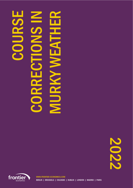# COURSE CORRECTIONS IN **MURKY WEATHER A** K Л DE  $\mathbf{r}$

2022



WWW.FRONTIER-ECONOMICS.COM BERLIN | BRUSSELS | COLOGNE | DUBLIN | LONDON | MADRID | PARIS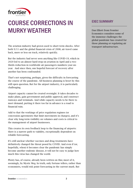

# COURSE CORRECTIONS IN MURKY WEATHER

The aviation industry had grown used to short-term shocks. After both 9/11 and the global financial crisis of 2008, air travel came back, more or less on track, relatively quickly.

But the industry had never seen anything like COVID-19, which in 2020 led to an almost hard-stop on aviation in April and a twothirds reduction in worldwide air passengers numbers year-onyear. And since then, one hopeful forecast of recovery after another has been confounded.

That's not surprising, perhaps, given the difficulty in forecasting the course of the pandemic. All business planning is beset by this still open question. But for the airport industry, it is particularly challenging.

Airport capacity cannot be created overnight. It takes decades to make plans, gain government and public approval, and construct runways and terminals. And while capacity needs to be there to meet demand, putting it there too far in advance is a road to financial ruin.

Add to that the workings of price regulation regimes (or concession agreements that limit movements in charges), and it's clear why long-term visibility on volumes and costs is critical to the management of airport businesses.

This creates its own feedback loop to the financing of airports: there is a narrow path to viability, exceptionally dependent on reliable forecasting.

It's still unclear whether vaccines and drug treatments have definitively changed the threat posed by COVID. And even if (or, hopefully, when) it becomes clear the pandemic has simply become another endemic disease, it will not be easy to judge how much this virus has changed the world.

Plenty has, of course, already been written on this; most of it, seemingly, by Mystic Meg. In truth, only fortune tellers, rather than economists, would risk point forecasting in the current murk. But

# **FXFC SUMMARY**

Dan Elliott from Frontier Economics considers some of the immense challenges the global pandemic has created for those planning or regulating air transport infrastructure.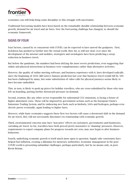

economics can still help bring some discipline to this struggle with uncertainty.

Traditional forecasting models have been based on the remarkably durable relationship between economic growth, demand for air travel and air fares. Now the forecasting challenge has changed, so should the economic framework.

## SIGNS OF FOUR

Four factors, caused by or concurrent with COVID, can be expected to have moved the goalposts. First, lockdown has pushed us further into the virtual world. How far, is still not clear: ever since the development of the internet and mobiles, strategists and sociologists have been predicting a steep reduction in business travel.

But before the pandemic, the numbers had been defying the most severe predictions, even suggesting that online and physical interactions in business were complementary rather than alternative activities.

However, the quality of online meeting software, and business experience with it, have developed radically since the beginning of 2020. Bill Gates's famous prediction last year that business travel would fall by 50% has been challenged by many, but some substitution of video calls for physical journeys seems likely to have become embedded.

This, in turn, is likely to push up prices for holiday travellers, who are cross-subsidised by those who turn left on boarding, putting further downward pressure on demand.

Second, aviation, like any other sector responsible for substantial CO2 emissions, is facing a future of higher abatement costs. These will be imposed by government actions such as the European Union's Emissions Trading System, and by embracing new fuels such as biofuels, SAFs and hydrogen, perhaps even electric power eventually, again leading to higher fares.

However, while basic economics suggests these first two factors will cause a downward shift in the demand for air travel, they will not necessarily disconnect its relationship with economic growth.

Third, environmental concerns may have 'non-price' effects on customers, governments and businesses, curtailing air travel. So far, travellers have both proved pretty insensitive to 'shaming' pressures. However, requirements to report company plans for progress towards net zero, may now begin to alter business behaviour.

Fourth, underlying economic growth is itself much more open to question. Supply-side constraints have helped fuel inflation, creating a dilemma for monetary authorities. Economic management in the post-COVID world is presenting unfamiliar challenges, perhaps particularly, but by no means only, in post-Brexit Britain.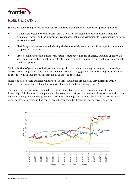

# PLANS B, C, D AND …

So here are some things we do at Frontier Economics to make planning more fit for present purpose:

- Rather than pretend we can forecast air traffic precisely, plans have to be based on multiple demand scenarios, and the appropriate responses, enabling development to be ramped up or down as events unfold.
- Flexible approaches are needed, shifting the balance of short-term plans from capacity investment to operating solutions
- Projects should be valued using 'real options' methodologies, for example, ascribing appropriate value to opportunities to halt or accelerate them, similar to the way in which values are ascribed to financial options.

To do this kind of planning well, airports need to get better at understanding the long-run relationship between (operating and capital) costs and demand–- that is to say, get better at measuring the 'elasticities' or extent to which each moves in response to changes in the other.

Short (one-to-two-year) and long-run (five-to-ten-year) elasticities are typically very different. Only a thorough analysis of both will enable scenario planning to be truly 'evidence-based'.

The nature of the disruption has made the airport industry much riskier, both operationally and financially. With the onset of the pandemic the asset beta of airports, a measure of market risk without the impact of debt, jumped sharply, in some cases even doubling. And with no sign of this returning to prepandemic levels, airports will be experiencing higher costs for financing for the foreseeable future.